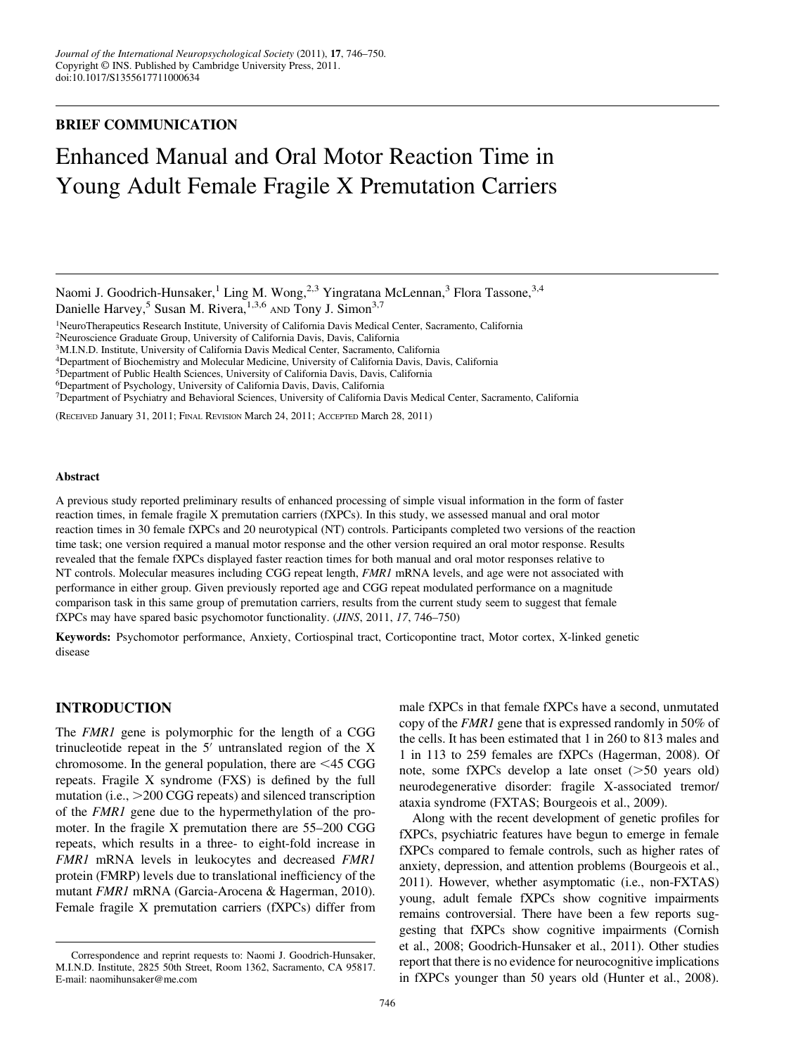# BRIEF COMMUNICATION

# Enhanced Manual and Oral Motor Reaction Time in Young Adult Female Fragile X Premutation Carriers

Naomi J. Goodrich-Hunsaker,<sup>1</sup> Ling M. Wong,<sup>2,3</sup> Yingratana McLennan,<sup>3</sup> Flora Tassone,<sup>3,4</sup> Danielle Harvey,<sup>5</sup> Susan M. Rivera,<sup>1,3,6</sup> AND Tony J. Simon<sup>3,7</sup>

1NeuroTherapeutics Research Institute, University of California Davis Medical Center, Sacramento, California

2Neuroscience Graduate Group, University of California Davis, Davis, California

3M.I.N.D. Institute, University of California Davis Medical Center, Sacramento, California

4Department of Biochemistry and Molecular Medicine, University of California Davis, Davis, California

5Department of Public Health Sciences, University of California Davis, Davis, California

6Department of Psychology, University of California Davis, Davis, California

7Department of Psychiatry and Behavioral Sciences, University of California Davis Medical Center, Sacramento, California

(RECEIVED January 31, 2011; FINAL REVISION March 24, 2011; ACCEPTED March 28, 2011)

#### Abstract

A previous study reported preliminary results of enhanced processing of simple visual information in the form of faster reaction times, in female fragile X premutation carriers (fXPCs). In this study, we assessed manual and oral motor reaction times in 30 female fXPCs and 20 neurotypical (NT) controls. Participants completed two versions of the reaction time task; one version required a manual motor response and the other version required an oral motor response. Results revealed that the female fXPCs displayed faster reaction times for both manual and oral motor responses relative to NT controls. Molecular measures including CGG repeat length, *FMR1* mRNA levels, and age were not associated with performance in either group. Given previously reported age and CGG repeat modulated performance on a magnitude comparison task in this same group of premutation carriers, results from the current study seem to suggest that female fXPCs may have spared basic psychomotor functionality. (JINS, 2011, 17, 746–750)

Keywords: Psychomotor performance, Anxiety, Cortiospinal tract, Corticopontine tract, Motor cortex, X-linked genetic disease

## INTRODUCTION

The *FMR1* gene is polymorphic for the length of a CGG trinucleotide repeat in the  $5'$  untranslated region of the X chromosome. In the general population, there are  $\leq$  45 CGG repeats. Fragile X syndrome (FXS) is defined by the full mutation (i.e.,  $>200 \text{ CGG}$  repeats) and silenced transcription of the FMR1 gene due to the hypermethylation of the promoter. In the fragile X premutation there are 55–200 CGG repeats, which results in a three- to eight-fold increase in FMR1 mRNA levels in leukocytes and decreased FMR1 protein (FMRP) levels due to translational inefficiency of the mutant FMR1 mRNA (Garcia-Arocena & Hagerman, 2010). Female fragile X premutation carriers (fXPCs) differ from

male fXPCs in that female fXPCs have a second, unmutated copy of the FMR1 gene that is expressed randomly in 50% of the cells. It has been estimated that 1 in 260 to 813 males and 1 in 113 to 259 females are fXPCs (Hagerman, 2008). Of note, some fXPCs develop a late onset  $(>=50$  years old) neurodegenerative disorder: fragile X-associated tremor/ ataxia syndrome (FXTAS; Bourgeois et al., 2009).

Along with the recent development of genetic profiles for fXPCs, psychiatric features have begun to emerge in female fXPCs compared to female controls, such as higher rates of anxiety, depression, and attention problems (Bourgeois et al., 2011). However, whether asymptomatic (i.e., non-FXTAS) young, adult female fXPCs show cognitive impairments remains controversial. There have been a few reports suggesting that fXPCs show cognitive impairments (Cornish et al., 2008; Goodrich-Hunsaker et al., 2011). Other studies report that there is no evidence for neurocognitive implications in fXPCs younger than 50 years old (Hunter et al., 2008).

Correspondence and reprint requests to: Naomi J. Goodrich-Hunsaker, M.I.N.D. Institute, 2825 50th Street, Room 1362, Sacramento, CA 95817. E-mail: naomihunsaker@me.com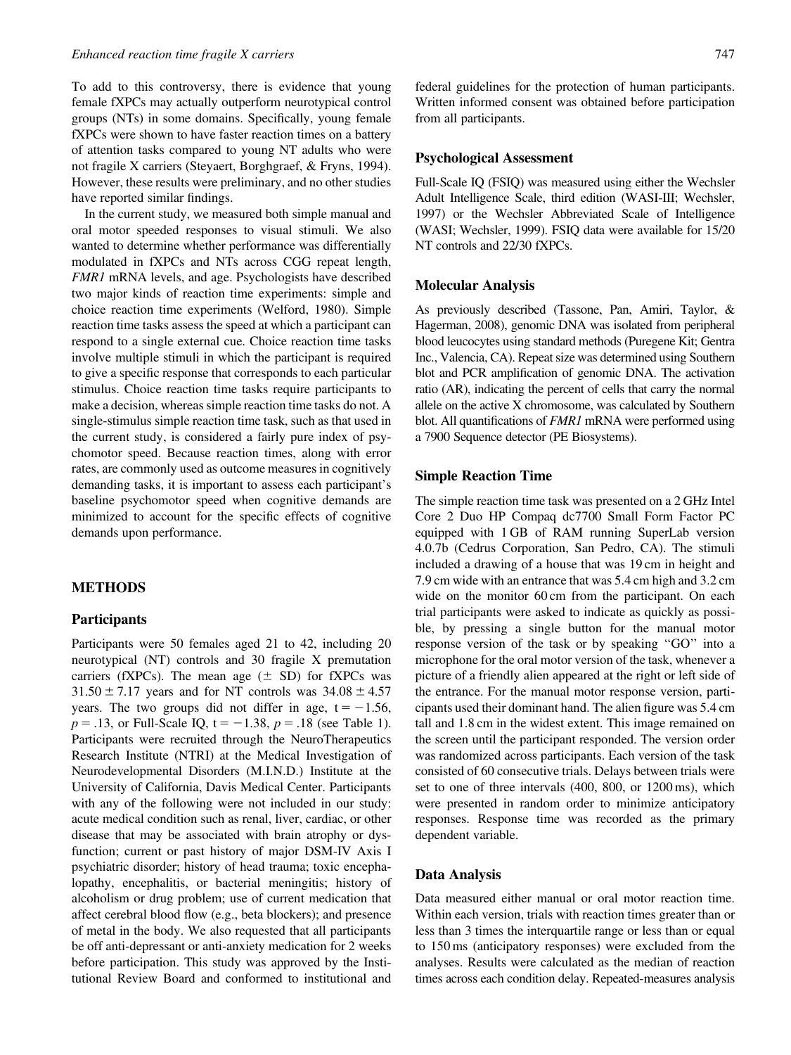To add to this controversy, there is evidence that young female fXPCs may actually outperform neurotypical control groups (NTs) in some domains. Specifically, young female fXPCs were shown to have faster reaction times on a battery of attention tasks compared to young NT adults who were not fragile X carriers (Steyaert, Borghgraef, & Fryns, 1994). However, these results were preliminary, and no other studies have reported similar findings.

In the current study, we measured both simple manual and oral motor speeded responses to visual stimuli. We also wanted to determine whether performance was differentially modulated in fXPCs and NTs across CGG repeat length, FMR1 mRNA levels, and age. Psychologists have described two major kinds of reaction time experiments: simple and choice reaction time experiments (Welford, 1980). Simple reaction time tasks assess the speed at which a participant can respond to a single external cue. Choice reaction time tasks involve multiple stimuli in which the participant is required to give a specific response that corresponds to each particular stimulus. Choice reaction time tasks require participants to make a decision, whereas simple reaction time tasks do not. A single-stimulus simple reaction time task, such as that used in the current study, is considered a fairly pure index of psychomotor speed. Because reaction times, along with error rates, are commonly used as outcome measures in cognitively demanding tasks, it is important to assess each participant's baseline psychomotor speed when cognitive demands are minimized to account for the specific effects of cognitive demands upon performance.

## METHODS

#### Participants

Participants were 50 females aged 21 to 42, including 20 neurotypical (NT) controls and 30 fragile X premutation carriers (fXPCs). The mean age  $(\pm SD)$  for fXPCs was  $31.50 \pm 7.17$  years and for NT controls was  $34.08 \pm 4.57$ years. The two groups did not differ in age,  $t = -1.56$ ,  $p = .13$ , or Full-Scale IQ,  $t = -1.38$ ,  $p = .18$  (see Table 1). Participants were recruited through the NeuroTherapeutics Research Institute (NTRI) at the Medical Investigation of Neurodevelopmental Disorders (M.I.N.D.) Institute at the University of California, Davis Medical Center. Participants with any of the following were not included in our study: acute medical condition such as renal, liver, cardiac, or other disease that may be associated with brain atrophy or dysfunction; current or past history of major DSM-IV Axis I psychiatric disorder; history of head trauma; toxic encephalopathy, encephalitis, or bacterial meningitis; history of alcoholism or drug problem; use of current medication that affect cerebral blood flow (e.g., beta blockers); and presence of metal in the body. We also requested that all participants be off anti-depressant or anti-anxiety medication for 2 weeks before participation. This study was approved by the Institutional Review Board and conformed to institutional and

federal guidelines for the protection of human participants. Written informed consent was obtained before participation from all participants.

#### Psychological Assessment

Full-Scale IQ (FSIQ) was measured using either the Wechsler Adult Intelligence Scale, third edition (WASI-III; Wechsler, 1997) or the Wechsler Abbreviated Scale of Intelligence (WASI; Wechsler, 1999). FSIQ data were available for 15/20 NT controls and 22/30 fXPCs.

#### Molecular Analysis

As previously described (Tassone, Pan, Amiri, Taylor, & Hagerman, 2008), genomic DNA was isolated from peripheral blood leucocytes using standard methods (Puregene Kit; Gentra Inc., Valencia, CA). Repeat size was determined using Southern blot and PCR amplification of genomic DNA. The activation ratio (AR), indicating the percent of cells that carry the normal allele on the active X chromosome, was calculated by Southern blot. All quantifications of FMR1 mRNA were performed using a 7900 Sequence detector (PE Biosystems).

#### Simple Reaction Time

The simple reaction time task was presented on a 2 GHz Intel Core 2 Duo HP Compaq dc7700 Small Form Factor PC equipped with 1 GB of RAM running SuperLab version 4.0.7b (Cedrus Corporation, San Pedro, CA). The stimuli included a drawing of a house that was 19 cm in height and 7.9 cm wide with an entrance that was 5.4 cm high and 3.2 cm wide on the monitor 60 cm from the participant. On each trial participants were asked to indicate as quickly as possible, by pressing a single button for the manual motor response version of the task or by speaking ''GO'' into a microphone for the oral motor version of the task, whenever a picture of a friendly alien appeared at the right or left side of the entrance. For the manual motor response version, participants used their dominant hand. The alien figure was 5.4 cm tall and 1.8 cm in the widest extent. This image remained on the screen until the participant responded. The version order was randomized across participants. Each version of the task consisted of 60 consecutive trials. Delays between trials were set to one of three intervals (400, 800, or 1200 ms), which were presented in random order to minimize anticipatory responses. Response time was recorded as the primary dependent variable.

#### Data Analysis

Data measured either manual or oral motor reaction time. Within each version, trials with reaction times greater than or less than 3 times the interquartile range or less than or equal to 150 ms (anticipatory responses) were excluded from the analyses. Results were calculated as the median of reaction times across each condition delay. Repeated-measures analysis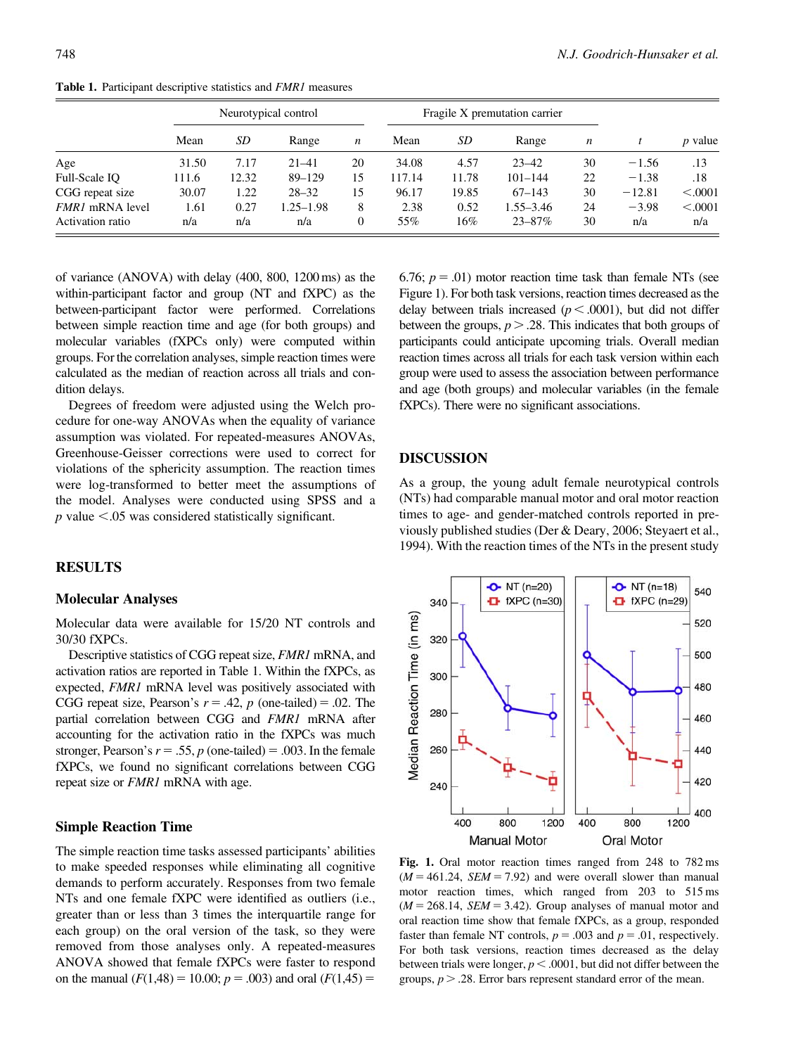|                        | Neurotypical control |       |               |                  | Fragile X premutation carrier |        |               |                  |          |                |
|------------------------|----------------------|-------|---------------|------------------|-------------------------------|--------|---------------|------------------|----------|----------------|
|                        | Mean                 | SD    | Range         | $\boldsymbol{n}$ | Mean                          | SD     | Range         | $\boldsymbol{n}$ |          | <i>p</i> value |
| Age                    | 31.50                | 7.17  | $21 - 41$     | 20               | 34.08                         | 4.57   | $23 - 42$     | 30               | $-1.56$  | .13            |
| Full-Scale IO          | 111.6                | 12.32 | $89 - 129$    | 15               | 117.14                        | 11.78  | $101 - 144$   | 22               | $-1.38$  | .18            |
| CGG repeat size        | 30.07                | 1.22  | $28 - 32$     | 15               | 96.17                         | 19.85  | $67 - 143$    | 30               | $-12.81$ | < .0001        |
| <i>FMR1</i> mRNA level | 1.61                 | 0.27  | $1.25 - 1.98$ | 8                | 2.38                          | 0.52   | $1.55 - 3.46$ | 24               | $-3.98$  | < .0001        |
| Activation ratio       | n/a                  | n/a   | n/a           | $\overline{0}$   | 55%                           | $16\%$ | $23 - 87\%$   | 30               | n/a      | n/a            |

Table 1. Participant descriptive statistics and FMR1 measures

of variance (ANOVA) with delay (400, 800, 1200 ms) as the within-participant factor and group (NT and fXPC) as the between-participant factor were performed. Correlations between simple reaction time and age (for both groups) and molecular variables (fXPCs only) were computed within groups. For the correlation analyses, simple reaction times were calculated as the median of reaction across all trials and condition delays.

Degrees of freedom were adjusted using the Welch procedure for one-way ANOVAs when the equality of variance assumption was violated. For repeated-measures ANOVAs, Greenhouse-Geisser corrections were used to correct for violations of the sphericity assumption. The reaction times were log-transformed to better meet the assumptions of the model. Analyses were conducted using SPSS and a  $p$  value  $\leq$ .05 was considered statistically significant.

## RESULTS

#### Molecular Analyses

Molecular data were available for 15/20 NT controls and 30/30 fXPCs.

Descriptive statistics of CGG repeat size, FMR1 mRNA, and activation ratios are reported in Table 1. Within the fXPCs, as expected, FMR1 mRNA level was positively associated with CGG repeat size, Pearson's  $r = .42$ , p (one-tailed) = .02. The partial correlation between CGG and FMR1 mRNA after accounting for the activation ratio in the fXPCs was much stronger, Pearson's  $r = .55$ , p (one-tailed) = .003. In the female fXPCs, we found no significant correlations between CGG repeat size or FMR1 mRNA with age.

## Simple Reaction Time

The simple reaction time tasks assessed participants' abilities to make speeded responses while eliminating all cognitive demands to perform accurately. Responses from two female NTs and one female fXPC were identified as outliers (i.e., greater than or less than 3 times the interquartile range for each group) on the oral version of the task, so they were removed from those analyses only. A repeated-measures ANOVA showed that female fXPCs were faster to respond on the manual  $(F(1,48) = 10.00; p = .003)$  and oral  $(F(1,45) =$ 

6.76;  $p = .01$ ) motor reaction time task than female NTs (see Figure 1). For both task versions, reaction times decreased as the delay between trials increased ( $p < .0001$ ), but did not differ between the groups,  $p > .28$ . This indicates that both groups of participants could anticipate upcoming trials. Overall median reaction times across all trials for each task version within each group were used to assess the association between performance and age (both groups) and molecular variables (in the female fXPCs). There were no significant associations.

## DISCUSSION

As a group, the young adult female neurotypical controls (NTs) had comparable manual motor and oral motor reaction times to age- and gender-matched controls reported in previously published studies (Der & Deary, 2006; Steyaert et al., 1994). With the reaction times of the NTs in the present study



Fig. 1. Oral motor reaction times ranged from 248 to 782 ms  $(M = 461.24, SEM = 7.92)$  and were overall slower than manual motor reaction times, which ranged from 203 to 515 ms  $(M = 268.14, SEM = 3.42)$ . Group analyses of manual motor and oral reaction time show that female fXPCs, as a group, responded faster than female NT controls,  $p = .003$  and  $p = .01$ , respectively. For both task versions, reaction times decreased as the delay between trials were longer,  $p < .0001$ , but did not differ between the groups,  $p > .28$ . Error bars represent standard error of the mean.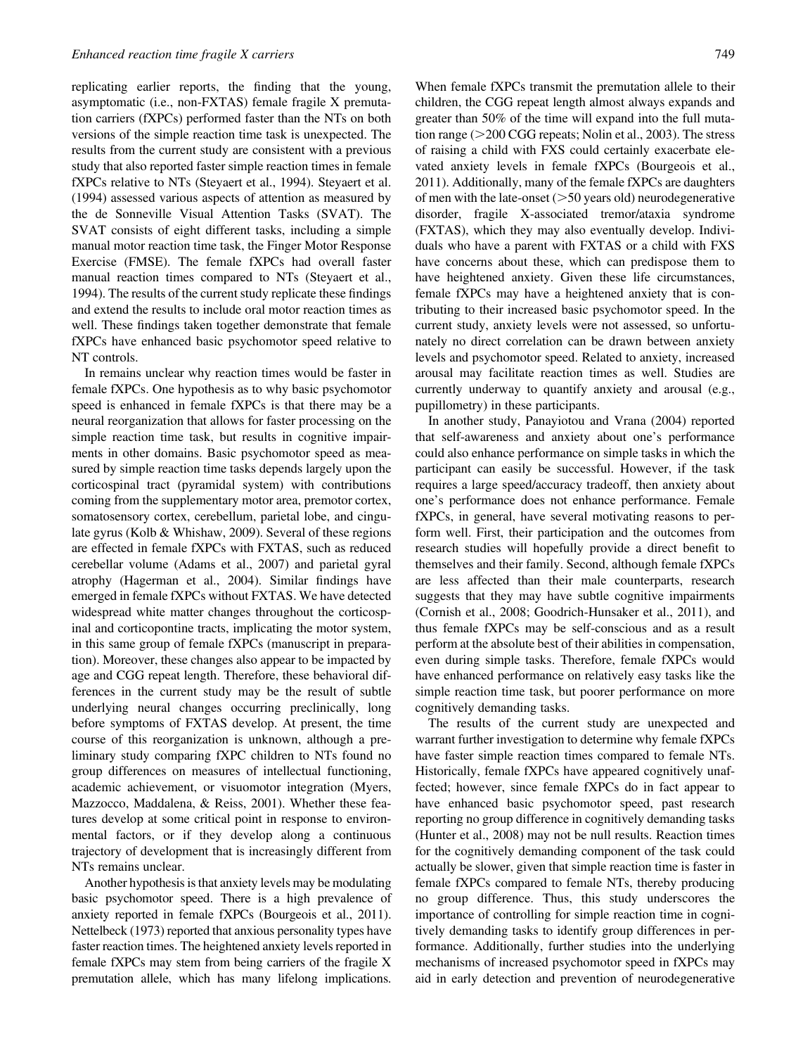replicating earlier reports, the finding that the young, asymptomatic (i.e., non-FXTAS) female fragile X premutation carriers (fXPCs) performed faster than the NTs on both versions of the simple reaction time task is unexpected. The results from the current study are consistent with a previous study that also reported faster simple reaction times in female fXPCs relative to NTs (Steyaert et al., 1994). Steyaert et al. (1994) assessed various aspects of attention as measured by the de Sonneville Visual Attention Tasks (SVAT). The SVAT consists of eight different tasks, including a simple manual motor reaction time task, the Finger Motor Response Exercise (FMSE). The female fXPCs had overall faster manual reaction times compared to NTs (Steyaert et al., 1994). The results of the current study replicate these findings and extend the results to include oral motor reaction times as well. These findings taken together demonstrate that female fXPCs have enhanced basic psychomotor speed relative to NT controls.

In remains unclear why reaction times would be faster in female fXPCs. One hypothesis as to why basic psychomotor speed is enhanced in female fXPCs is that there may be a neural reorganization that allows for faster processing on the simple reaction time task, but results in cognitive impairments in other domains. Basic psychomotor speed as measured by simple reaction time tasks depends largely upon the corticospinal tract (pyramidal system) with contributions coming from the supplementary motor area, premotor cortex, somatosensory cortex, cerebellum, parietal lobe, and cingulate gyrus (Kolb & Whishaw, 2009). Several of these regions are effected in female fXPCs with FXTAS, such as reduced cerebellar volume (Adams et al., 2007) and parietal gyral atrophy (Hagerman et al., 2004). Similar findings have emerged in female fXPCs without FXTAS. We have detected widespread white matter changes throughout the corticospinal and corticopontine tracts, implicating the motor system, in this same group of female fXPCs (manuscript in preparation). Moreover, these changes also appear to be impacted by age and CGG repeat length. Therefore, these behavioral differences in the current study may be the result of subtle underlying neural changes occurring preclinically, long before symptoms of FXTAS develop. At present, the time course of this reorganization is unknown, although a preliminary study comparing fXPC children to NTs found no group differences on measures of intellectual functioning, academic achievement, or visuomotor integration (Myers, Mazzocco, Maddalena, & Reiss, 2001). Whether these features develop at some critical point in response to environmental factors, or if they develop along a continuous trajectory of development that is increasingly different from NTs remains unclear.

Another hypothesis is that anxiety levels may be modulating basic psychomotor speed. There is a high prevalence of anxiety reported in female fXPCs (Bourgeois et al., 2011). Nettelbeck (1973) reported that anxious personality types have faster reaction times. The heightened anxiety levels reported in female fXPCs may stem from being carriers of the fragile X premutation allele, which has many lifelong implications.

When female fXPCs transmit the premutation allele to their children, the CGG repeat length almost always expands and greater than 50% of the time will expand into the full mutation range ( $>200$  CGG repeats; Nolin et al., 2003). The stress of raising a child with FXS could certainly exacerbate elevated anxiety levels in female fXPCs (Bourgeois et al., 2011). Additionally, many of the female fXPCs are daughters of men with the late-onset  $(>=50$  years old) neurodegenerative disorder, fragile X-associated tremor/ataxia syndrome (FXTAS), which they may also eventually develop. Individuals who have a parent with FXTAS or a child with FXS have concerns about these, which can predispose them to have heightened anxiety. Given these life circumstances, female fXPCs may have a heightened anxiety that is contributing to their increased basic psychomotor speed. In the current study, anxiety levels were not assessed, so unfortunately no direct correlation can be drawn between anxiety levels and psychomotor speed. Related to anxiety, increased arousal may facilitate reaction times as well. Studies are currently underway to quantify anxiety and arousal (e.g., pupillometry) in these participants.

In another study, Panayiotou and Vrana (2004) reported that self-awareness and anxiety about one's performance could also enhance performance on simple tasks in which the participant can easily be successful. However, if the task requires a large speed/accuracy tradeoff, then anxiety about one's performance does not enhance performance. Female fXPCs, in general, have several motivating reasons to perform well. First, their participation and the outcomes from research studies will hopefully provide a direct benefit to themselves and their family. Second, although female fXPCs are less affected than their male counterparts, research suggests that they may have subtle cognitive impairments (Cornish et al., 2008; Goodrich-Hunsaker et al., 2011), and thus female fXPCs may be self-conscious and as a result perform at the absolute best of their abilities in compensation, even during simple tasks. Therefore, female fXPCs would have enhanced performance on relatively easy tasks like the simple reaction time task, but poorer performance on more cognitively demanding tasks.

The results of the current study are unexpected and warrant further investigation to determine why female fXPCs have faster simple reaction times compared to female NTs. Historically, female fXPCs have appeared cognitively unaffected; however, since female fXPCs do in fact appear to have enhanced basic psychomotor speed, past research reporting no group difference in cognitively demanding tasks (Hunter et al., 2008) may not be null results. Reaction times for the cognitively demanding component of the task could actually be slower, given that simple reaction time is faster in female fXPCs compared to female NTs, thereby producing no group difference. Thus, this study underscores the importance of controlling for simple reaction time in cognitively demanding tasks to identify group differences in performance. Additionally, further studies into the underlying mechanisms of increased psychomotor speed in fXPCs may aid in early detection and prevention of neurodegenerative